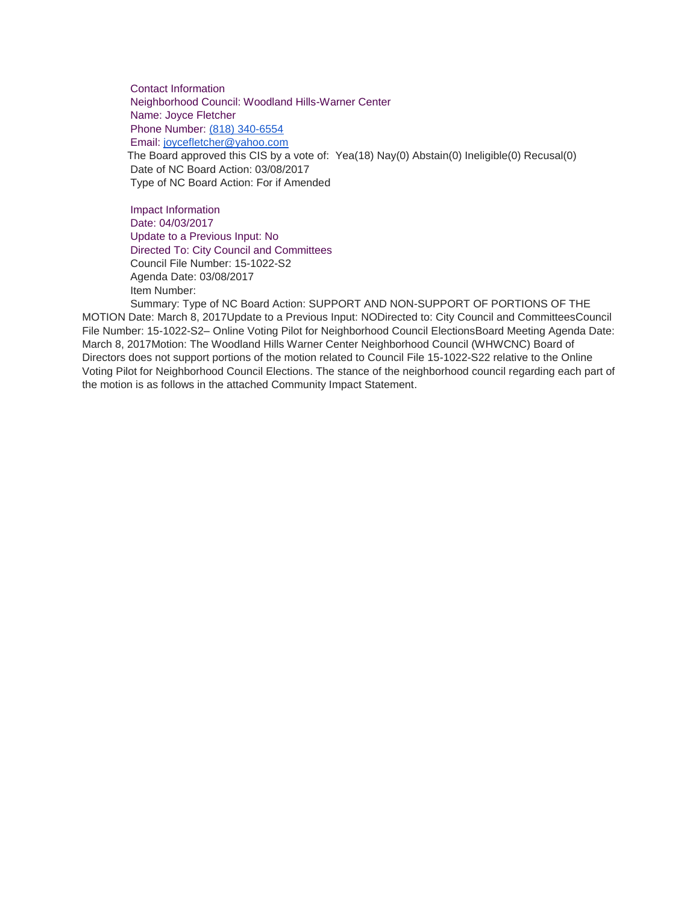Contact Information Neighborhood Council: Woodland Hills-Warner Center Name: Joyce Fletcher Phone Number: [\(818\) 340-6554](tel:%28818%29%20340-6554) Email: [joycefletcher@yahoo.com](mailto:joycefletcher@yahoo.com) The Board approved this CIS by a vote of: Yea(18) Nay(0) Abstain(0) Ineligible(0) Recusal(0) Date of NC Board Action: 03/08/2017 Type of NC Board Action: For if Amended

Impact Information Date: 04/03/2017 Update to a Previous Input: No Directed To: City Council and Committees Council File Number: 15-1022-S2 Agenda Date: 03/08/2017 Item Number:

Summary: Type of NC Board Action: SUPPORT AND NON-SUPPORT OF PORTIONS OF THE MOTION Date: March 8, 2017Update to a Previous Input: NODirected to: City Council and CommitteesCouncil File Number: 15-1022-S2– Online Voting Pilot for Neighborhood Council ElectionsBoard Meeting Agenda Date: March 8, 2017Motion: The Woodland Hills Warner Center Neighborhood Council (WHWCNC) Board of Directors does not support portions of the motion related to Council File 15-1022-S22 relative to the Online Voting Pilot for Neighborhood Council Elections. The stance of the neighborhood council regarding each part of the motion is as follows in the attached Community Impact Statement.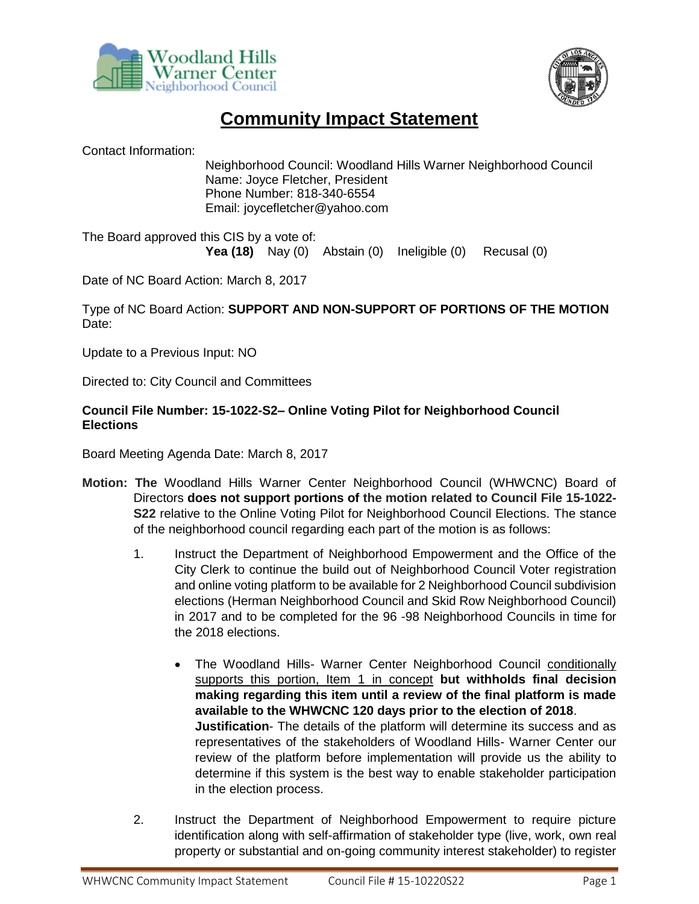



## **Community Impact Statement**

Contact Information:

Neighborhood Council: Woodland Hills Warner Neighborhood Council Name: Joyce Fletcher, President Phone Number: 818-340-6554 Email: joycefletcher@yahoo.com

The Board approved this CIS by a vote of: **Yea (18)** Nay (0) Abstain (0) Ineligible (0) Recusal (0)

Date of NC Board Action: March 8, 2017

Type of NC Board Action: **SUPPORT AND NON-SUPPORT OF PORTIONS OF THE MOTION** Date:

Update to a Previous Input: NO

Directed to: City Council and Committees

## **Council File Number: 15-1022-S2– Online Voting Pilot for Neighborhood Council Elections**

Board Meeting Agenda Date: March 8, 2017

- **Motion: The** Woodland Hills Warner Center Neighborhood Council (WHWCNC) Board of Directors **does not support portions of the motion related to Council File 15-1022- S22** relative to the Online Voting Pilot for Neighborhood Council Elections. The stance of the neighborhood council regarding each part of the motion is as follows:
	- 1. Instruct the Department of Neighborhood Empowerment and the Office of the City Clerk to continue the build out of Neighborhood Council Voter registration and online voting platform to be available for 2 Neighborhood Council subdivision elections (Herman Neighborhood Council and Skid Row Neighborhood Council) in 2017 and to be completed for the 96 -98 Neighborhood Councils in time for the 2018 elections.
		- The Woodland Hills- Warner Center Neighborhood Council conditionally supports this portion, Item 1 in concept **but withholds final decision making regarding this item until a review of the final platform is made available to the WHWCNC 120 days prior to the election of 2018**. **Justification**- The details of the platform will determine its success and as representatives of the stakeholders of Woodland Hills- Warner Center our review of the platform before implementation will provide us the ability to determine if this system is the best way to enable stakeholder participation in the election process.
	- 2. Instruct the Department of Neighborhood Empowerment to require picture identification along with self-affirmation of stakeholder type (live, work, own real property or substantial and on-going community interest stakeholder) to register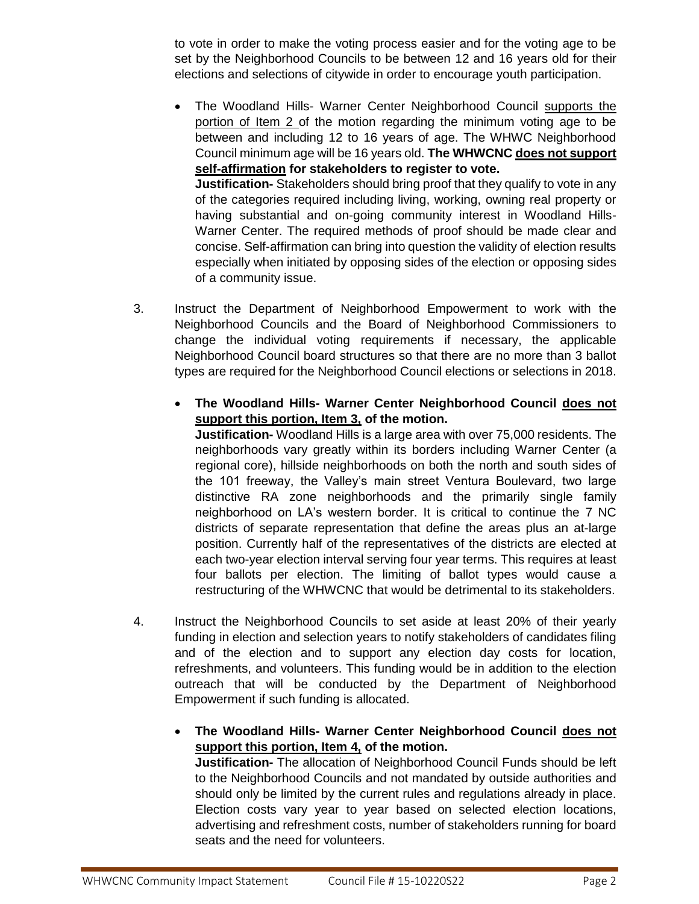to vote in order to make the voting process easier and for the voting age to be set by the Neighborhood Councils to be between 12 and 16 years old for their elections and selections of citywide in order to encourage youth participation.

• The Woodland Hills- Warner Center Neighborhood Council supports the portion of Item 2 of the motion regarding the minimum voting age to be between and including 12 to 16 years of age. The WHWC Neighborhood Council minimum age will be 16 years old. **The WHWCNC does not support self-affirmation for stakeholders to register to vote. Justification-** Stakeholders should bring proof that they qualify to vote in any of the categories required including living, working, owning real property or

having substantial and on-going community interest in Woodland Hills-Warner Center. The required methods of proof should be made clear and concise. Self-affirmation can bring into question the validity of election results especially when initiated by opposing sides of the election or opposing sides of a community issue.

- 3. Instruct the Department of Neighborhood Empowerment to work with the Neighborhood Councils and the Board of Neighborhood Commissioners to change the individual voting requirements if necessary, the applicable Neighborhood Council board structures so that there are no more than 3 ballot types are required for the Neighborhood Council elections or selections in 2018.
	- **The Woodland Hills- Warner Center Neighborhood Council does not support this portion, Item 3, of the motion.**

**Justification-** Woodland Hills is a large area with over 75,000 residents. The neighborhoods vary greatly within its borders including Warner Center (a regional core), hillside neighborhoods on both the north and south sides of the 101 freeway, the Valley's main street Ventura Boulevard, two large distinctive RA zone neighborhoods and the primarily single family neighborhood on LA's western border. It is critical to continue the 7 NC districts of separate representation that define the areas plus an at-large position. Currently half of the representatives of the districts are elected at each two-year election interval serving four year terms. This requires at least four ballots per election. The limiting of ballot types would cause a restructuring of the WHWCNC that would be detrimental to its stakeholders.

- 4. Instruct the Neighborhood Councils to set aside at least 20% of their yearly funding in election and selection years to notify stakeholders of candidates filing and of the election and to support any election day costs for location, refreshments, and volunteers. This funding would be in addition to the election outreach that will be conducted by the Department of Neighborhood Empowerment if such funding is allocated.
	- **The Woodland Hills- Warner Center Neighborhood Council does not support this portion, Item 4, of the motion.**

**Justification-** The allocation of Neighborhood Council Funds should be left to the Neighborhood Councils and not mandated by outside authorities and should only be limited by the current rules and regulations already in place. Election costs vary year to year based on selected election locations, advertising and refreshment costs, number of stakeholders running for board seats and the need for volunteers.